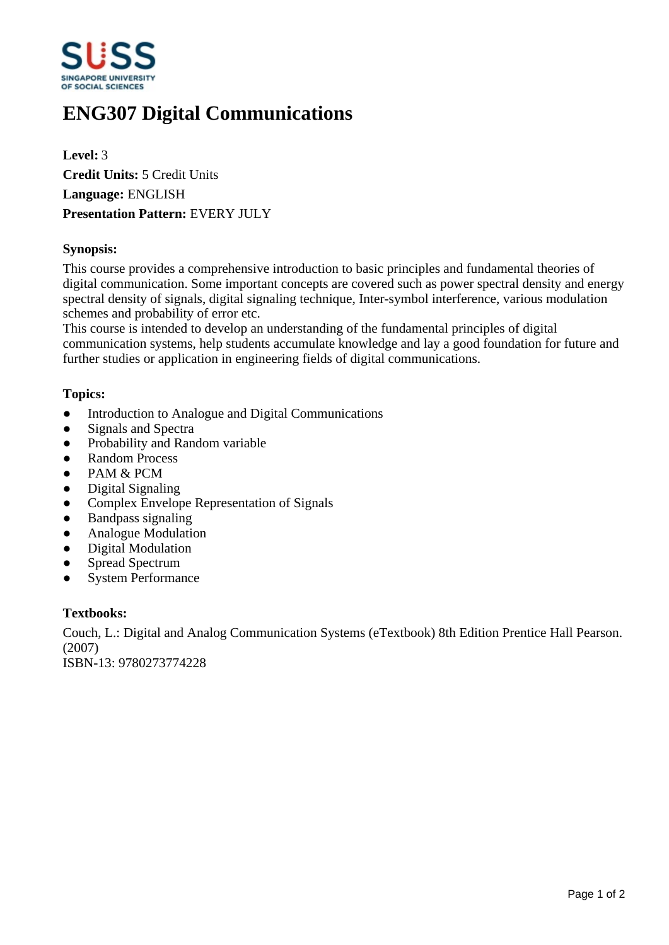

# **ENG307 Digital Communications**

**Level:** 3 **Credit Units:** 5 Credit Units **Language:** ENGLISH **Presentation Pattern:** EVERY JULY

## **Synopsis:**

This course provides a comprehensive introduction to basic principles and fundamental theories of digital communication. Some important concepts are covered such as power spectral density and energy spectral density of signals, digital signaling technique, Inter-symbol interference, various modulation schemes and probability of error etc.

This course is intended to develop an understanding of the fundamental principles of digital communication systems, help students accumulate knowledge and lay a good foundation for future and further studies or application in engineering fields of digital communications.

### **Topics:**

- Introduction to Analogue and Digital Communications
- Signals and Spectra
- Probability and Random variable
- Random Process
- PAM & PCM
- Digital Signaling
- Complex Envelope Representation of Signals
- ƔBandpass signaling
- Analogue Modulation
- Digital Modulation
- Spread Spectrum
- System Performance

### **Textbooks:**

Couch, L.: Digital and Analog Communication Systems (eTextbook) 8th Edition Prentice Hall Pearson. (2007) ISBN-13: 9780273774228